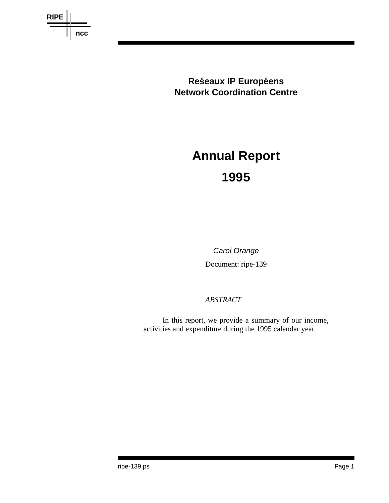

**Reśeaux IP Européens Network Coordination Centre**

# **Annual Report 1995**

## *Carol Orange*

Document: ripe-139

### *ABSTRACT*

In this report, we provide a summary of our income, activities and expenditure during the 1995 calendar year.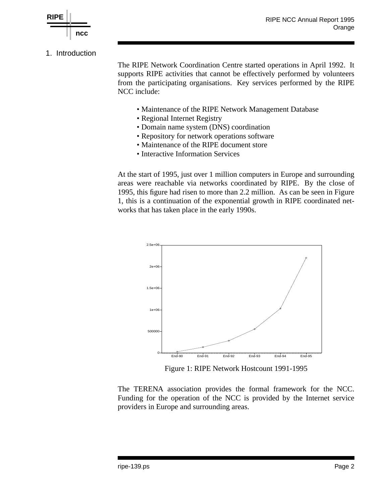

#### 1. Introduction

The RIPE Network Coordination Centre started operations in April 1992. It supports RIPE activities that cannot be effectively performed by volunteers from the participating organisations. Key services performed by the RIPE NCC include:

- Maintenance of the RIPE Network Management Database
- Regional Internet Registry
- Domain name system (DNS) coordination
- Repository for network operations software
- Maintenance of the RIPE document store
- Interactive Information Services

At the start of 1995, just over 1 million computers in Europe and surrounding areas were reachable via networks coordinated by RIPE. By the close of 1995, this figure had risen to more than 2.2 million. As can be seen in Figure 1, this is a continuation of the exponential growth in RIPE coordinated networks that has taken place in the early 1990s.



Figure 1: RIPE Network Hostcount 1991-1995

The TERENA association provides the formal framework for the NCC. Funding for the operation of the NCC is provided by the Internet service providers in Europe and surrounding areas.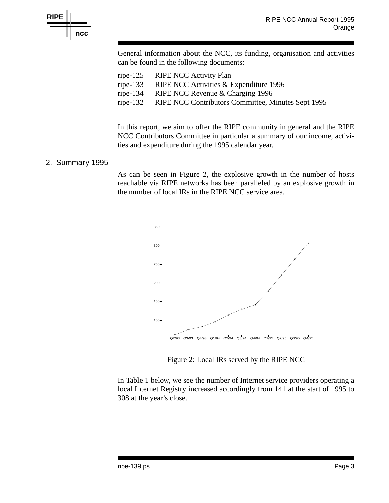



General information about the NCC, its funding, organisation and activities can be found in the following documents:

| ripe-125 RIPE NCC Activity Plan                             |
|-------------------------------------------------------------|
| ripe-133 RIPE NCC Activities $&$ Expenditure 1996           |
| ripe-134 RIPE NCC Revenue $&$ Charging 1996                 |
| ripe-132 RIPE NCC Contributors Committee, Minutes Sept 1995 |

In this report, we aim to offer the RIPE community in general and the RIPE NCC Contributors Committee in particular a summary of our income, activities and expenditure during the 1995 calendar year.

#### 2. Summary 1995

As can be seen in Figure 2, the explosive growth in the number of hosts reachable via RIPE networks has been paralleled by an explosive growth in the number of local IRs in the RIPE NCC service area.



Figure 2: Local IRs served by the RIPE NCC

In Table 1 below, we see the number of Internet service providers operating a local Internet Registry increased accordingly from 141 at the start of 1995 to 308 at the year's close.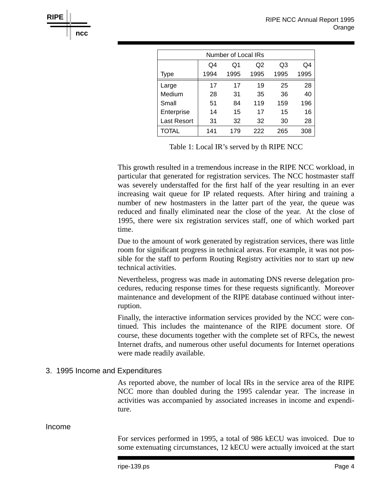| Number of Local IRs |      |      |      |      |      |  |  |
|---------------------|------|------|------|------|------|--|--|
|                     | Q4   | Q1   | Q2   | Q3   | Q4   |  |  |
| <b>Type</b>         | 1994 | 1995 | 1995 | 1995 | 1995 |  |  |
| Large               | 17   | 17   | 19   | 25   | 28   |  |  |
| Medium              | 28   | 31   | 35   | 36   | 40   |  |  |
| Small               | 51   | 84   | 119  | 159  | 196  |  |  |
| Enterprise          | 14   | 15   | 17   | 15   | 16   |  |  |
| <b>Last Resort</b>  | 31   | 32   | 32   | 30   | 28   |  |  |
| TOTAL               | 141  | 179  | 222  | 265  | 308  |  |  |

Table 1: Local IR's served by th RIPE NCC

This growth resulted in a tremendous increase in the RIPE NCC workload, in particular that generated for registration services. The NCC hostmaster staff was severely understaffed for the first half of the year resulting in an ever increasing wait queue for IP related requests. After hiring and training a number of new hostmasters in the latter part of the year, the queue was reduced and finally eliminated near the close of the year. At the close of 1995, there were six registration services staff, one of which worked part time.

Due to the amount of work generated by registration services, there was little room for significant progress in technical areas. For example, it was not possible for the staff to perform Routing Registry activities nor to start up new technical activities.

Nevertheless, progress was made in automating DNS reverse delegation procedures, reducing response times for these requests significantly. Moreover maintenance and development of the RIPE database continued without interruption.

Finally, the interactive information services provided by the NCC were continued. This includes the maintenance of the RIPE document store. Of course, these documents together with the complete set of RFCs, the newest Internet drafts, and numerous other useful documents for Internet operations were made readily available.

#### 3. 1995 Income and Expenditures

As reported above, the number of local IRs in the service area of the RIPE NCC more than doubled during the 1995 calendar year. The increase in activities was accompanied by associated increases in income and expenditure.

#### Income

**RIPE**

**ncc**

For services performed in 1995, a total of 986 kECU was invoiced. Due to some extenuating circumstances, 12 kECU were actually invoiced at the start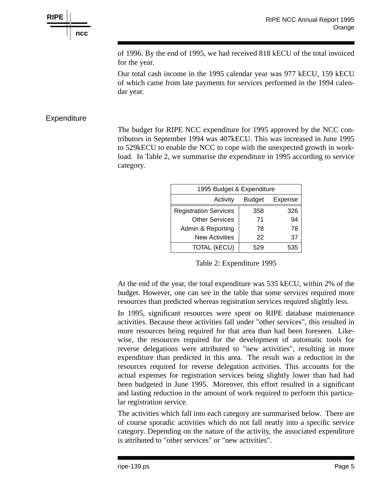**RIPE ncc**

> of 1996. By the end of 1995, we had received 818 kECU of the total invoiced for the year.

> Our total cash income in the 1995 calendar year was 977 kECU, 159 kECU of which came from late payments for services performed in the 1994 calendar year.

#### **Expenditure**

The budget for RIPE NCC expenditure for 1995 approved by the NCC contributors in September 1994 was 407kECU. This was increased in June 1995 to 529kECU to enable the NCC to cope with the unexpected growth in workload. In Table 2, we summarise the expenditure in 1995 according to service category.

| 1995 Budget & Expenditure    |               |         |  |  |  |
|------------------------------|---------------|---------|--|--|--|
| Activity                     | <b>Budget</b> | Expense |  |  |  |
| <b>Registration Services</b> | 358           | 326     |  |  |  |
| <b>Other Services</b>        | 71            | 94      |  |  |  |
| Admin & Reporting            | 78            | 78      |  |  |  |
| <b>New Activities</b>        | 22            | 37      |  |  |  |
| <b>TOTAL (kECU)</b>          |               | 535     |  |  |  |

Table 2: Expenditure 1995

At the end of the year, the total expenditure was 535 kECU, within 2% of the budget. However, one can see in the table that some services required more resources than predicted whereas registration services required slightly less.

In 1995, significant resources were spent on RIPE database maintenance activities. Because these activities fall under "other services", this resulted in more resources being required for that area than had been foreseen. Likewise, the resources required for the development of automatic tools for reverse delegations were attributed to "new activities", resulting in more expenditure than predicted in this area. The result was a reduction in the resources required for reverse delegation activities. This accounts for the actual expenses for registration services being slightly lower than had had been budgeted in June 1995. Moreover, this effort resulted in a significant and lasting reduction in the amount of work required to perform this particular registration service.

The activities which fall into each category are summarised below. There are of course sporadic activities which do not fall neatly into a specific service category. Depending on the nature of the activity, the associated expenditure is attributed to "other services" or "new activities".